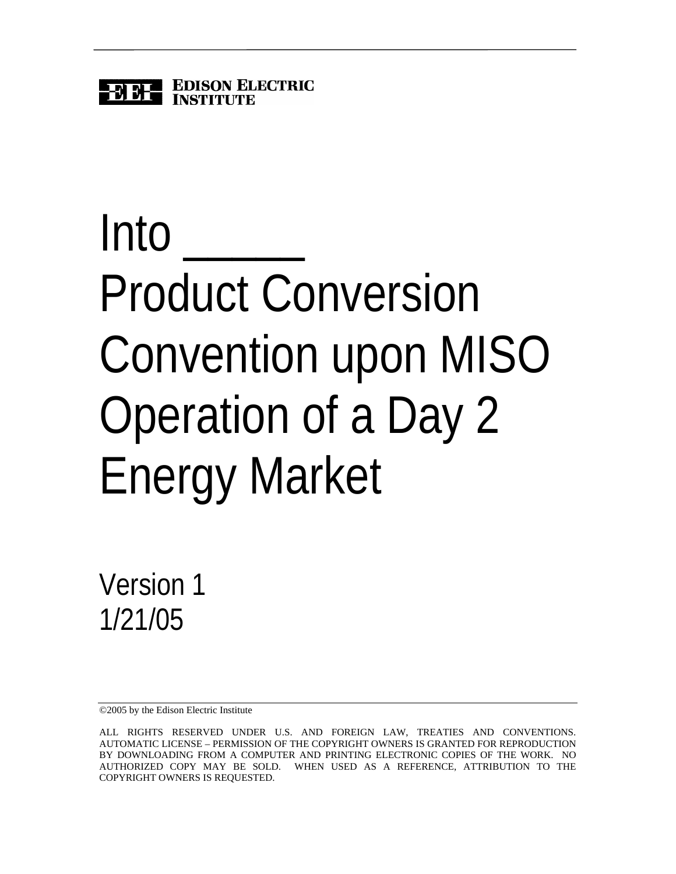

# Into Product Conversion Convention upon MISO Operation of a Day 2 Energy Market

Version 1 1/21/05

©2005 by the Edison Electric Institute

ALL RIGHTS RESERVED UNDER U.S. AND FOREIGN LAW, TREATIES AND CONVENTIONS. AUTOMATIC LICENSE – PERMISSION OF THE COPYRIGHT OWNERS IS GRANTED FOR REPRODUCTION BY DOWNLOADING FROM A COMPUTER AND PRINTING ELECTRONIC COPIES OF THE WORK. NO AUTHORIZED COPY MAY BE SOLD. WHEN USED AS A REFERENCE, ATTRIBUTION TO THE COPYRIGHT OWNERS IS REQUESTED.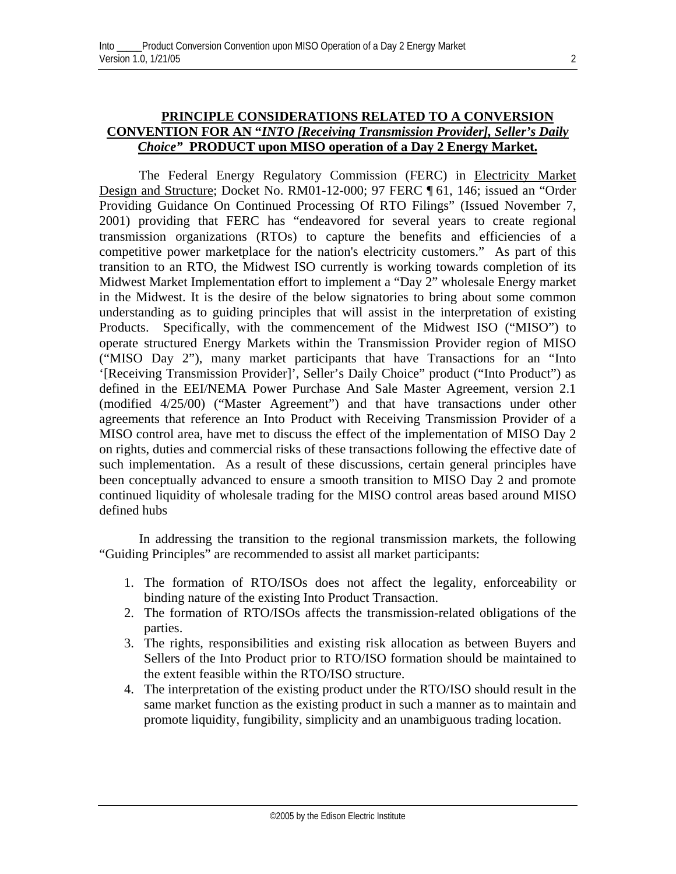# **PRINCIPLE CONSIDERATIONS RELATED TO A CONVERSION CONVENTION FOR AN "***INTO [Receiving Transmission Provider], Seller's Daily Choice"* **PRODUCT upon MISO operation of a Day 2 Energy Market.**

The Federal Energy Regulatory Commission (FERC) in Electricity Market Design and Structure; Docket No. RM01-12-000; 97 FERC ¶ 61, 146; issued an "Order Providing Guidance On Continued Processing Of RTO Filings" (Issued November 7, 2001) providing that FERC has "endeavored for several years to create regional transmission organizations (RTOs) to capture the benefits and efficiencies of a competitive power marketplace for the nation's electricity customers." As part of this transition to an RTO, the Midwest ISO currently is working towards completion of its Midwest Market Implementation effort to implement a "Day 2" wholesale Energy market in the Midwest. It is the desire of the below signatories to bring about some common understanding as to guiding principles that will assist in the interpretation of existing Products. Specifically, with the commencement of the Midwest ISO ("MISO") to operate structured Energy Markets within the Transmission Provider region of MISO ("MISO Day 2"), many market participants that have Transactions for an "Into '[Receiving Transmission Provider]', Seller's Daily Choice" product ("Into Product") as defined in the EEI/NEMA Power Purchase And Sale Master Agreement, version 2.1 (modified 4/25/00) ("Master Agreement") and that have transactions under other agreements that reference an Into Product with Receiving Transmission Provider of a MISO control area, have met to discuss the effect of the implementation of MISO Day 2 on rights, duties and commercial risks of these transactions following the effective date of such implementation. As a result of these discussions, certain general principles have been conceptually advanced to ensure a smooth transition to MISO Day 2 and promote continued liquidity of wholesale trading for the MISO control areas based around MISO defined hubs

In addressing the transition to the regional transmission markets, the following "Guiding Principles" are recommended to assist all market participants:

- 1. The formation of RTO/ISOs does not affect the legality, enforceability or binding nature of the existing Into Product Transaction.
- 2. The formation of RTO/ISOs affects the transmission-related obligations of the parties.
- 3. The rights, responsibilities and existing risk allocation as between Buyers and Sellers of the Into Product prior to RTO/ISO formation should be maintained to the extent feasible within the RTO/ISO structure.
- 4. The interpretation of the existing product under the RTO/ISO should result in the same market function as the existing product in such a manner as to maintain and promote liquidity, fungibility, simplicity and an unambiguous trading location.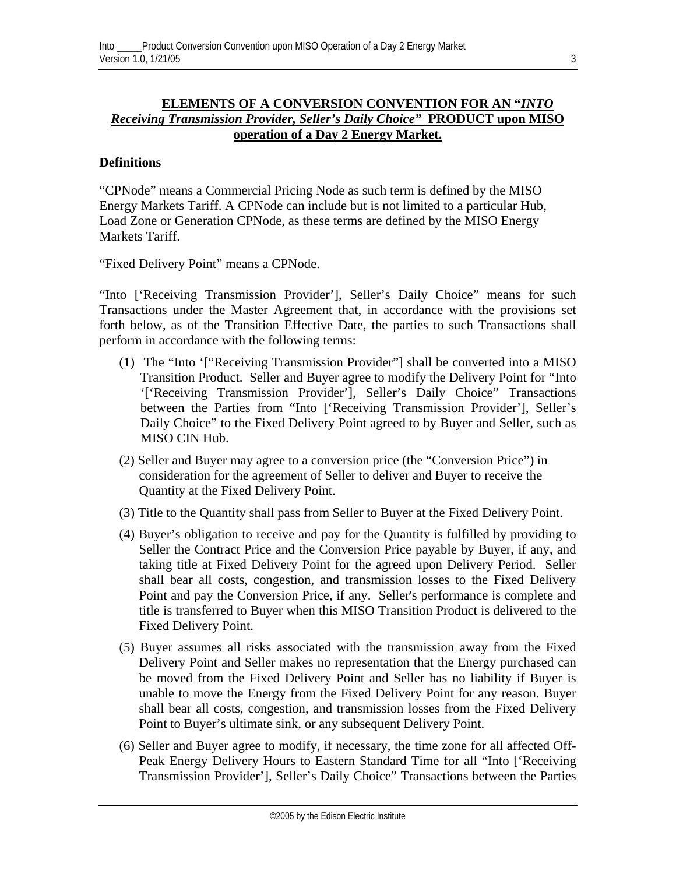# **ELEMENTS OF A CONVERSION CONVENTION FOR AN "***INTO Receiving Transmission Provider, Seller's Daily Choice"* **PRODUCT upon MISO operation of a Day 2 Energy Market.**

## **Definitions**

"CPNode" means a Commercial Pricing Node as such term is defined by the MISO Energy Markets Tariff. A CPNode can include but is not limited to a particular Hub, Load Zone or Generation CPNode, as these terms are defined by the MISO Energy Markets Tariff.

"Fixed Delivery Point" means a CPNode.

"Into ['Receiving Transmission Provider'], Seller's Daily Choice" means for such Transactions under the Master Agreement that, in accordance with the provisions set forth below, as of the Transition Effective Date, the parties to such Transactions shall perform in accordance with the following terms:

- (1) The "Into '["Receiving Transmission Provider"] shall be converted into a MISO Transition Product. Seller and Buyer agree to modify the Delivery Point for "Into '['Receiving Transmission Provider'], Seller's Daily Choice" Transactions between the Parties from "Into ['Receiving Transmission Provider'], Seller's Daily Choice" to the Fixed Delivery Point agreed to by Buyer and Seller, such as MISO CIN Hub.
- (2) Seller and Buyer may agree to a conversion price (the "Conversion Price") in consideration for the agreement of Seller to deliver and Buyer to receive the Quantity at the Fixed Delivery Point.
- (3) Title to the Quantity shall pass from Seller to Buyer at the Fixed Delivery Point.
- (4) Buyer's obligation to receive and pay for the Quantity is fulfilled by providing to Seller the Contract Price and the Conversion Price payable by Buyer, if any, and taking title at Fixed Delivery Point for the agreed upon Delivery Period. Seller shall bear all costs, congestion, and transmission losses to the Fixed Delivery Point and pay the Conversion Price, if any. Seller's performance is complete and title is transferred to Buyer when this MISO Transition Product is delivered to the Fixed Delivery Point.
- (5) Buyer assumes all risks associated with the transmission away from the Fixed Delivery Point and Seller makes no representation that the Energy purchased can be moved from the Fixed Delivery Point and Seller has no liability if Buyer is unable to move the Energy from the Fixed Delivery Point for any reason. Buyer shall bear all costs, congestion, and transmission losses from the Fixed Delivery Point to Buyer's ultimate sink, or any subsequent Delivery Point.
- (6) Seller and Buyer agree to modify, if necessary, the time zone for all affected Off-Peak Energy Delivery Hours to Eastern Standard Time for all "Into ['Receiving Transmission Provider'], Seller's Daily Choice" Transactions between the Parties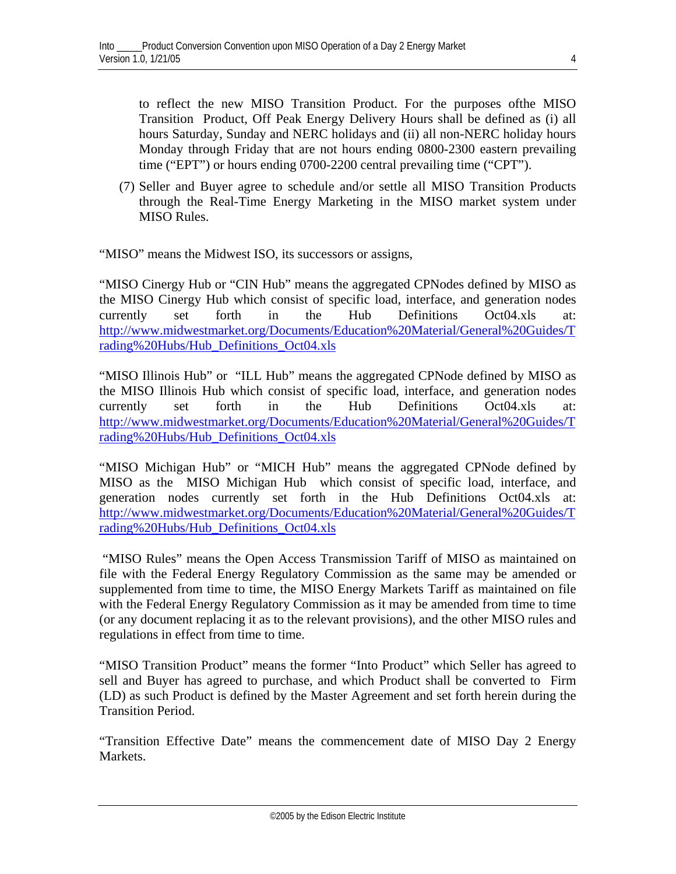to reflect the new MISO Transition Product. For the purposes ofthe MISO Transition Product, Off Peak Energy Delivery Hours shall be defined as (i) all hours Saturday, Sunday and NERC holidays and (ii) all non-NERC holiday hours Monday through Friday that are not hours ending 0800-2300 eastern prevailing time ("EPT") or hours ending 0700-2200 central prevailing time ("CPT").

(7) Seller and Buyer agree to schedule and/or settle all MISO Transition Products through the Real-Time Energy Marketing in the MISO market system under MISO Rules.

"MISO" means the Midwest ISO, its successors or assigns,

"MISO Cinergy Hub or "CIN Hub" means the aggregated CPNodes defined by MISO as the MISO Cinergy Hub which consist of specific load, interface, and generation nodes currently set forth in the Hub Definitions Oct04.xls at: [http://www.midwestmarket.org/Documents/Education%20Material/General%20Guides/T](http://www.midwestmarket.org/Documents/Education Material/General Guides/Trading Hubs/Hub_Definitions_Oct04.xls) [rading%20Hubs/Hub\\_Definitions\\_Oct04.xls](http://www.midwestmarket.org/Documents/Education Material/General Guides/Trading Hubs/Hub_Definitions_Oct04.xls)

"MISO Illinois Hub" or "ILL Hub" means the aggregated CPNode defined by MISO as the MISO Illinois Hub which consist of specific load, interface, and generation nodes currently set forth in the Hub Definitions Oct04.xls at: [http://www.midwestmarket.org/Documents/Education%20Material/General%20Guides/T](http://www.midwestmarket.org/Documents/Education Material/General Guides/Trading Hubs/Hub_Definitions_Oct04.xls) [rading%20Hubs/Hub\\_Definitions\\_Oct04.xls](http://www.midwestmarket.org/Documents/Education Material/General Guides/Trading Hubs/Hub_Definitions_Oct04.xls)

"MISO Michigan Hub" or "MICH Hub" means the aggregated CPNode defined by MISO as the MISO Michigan Hub which consist of specific load, interface, and generation nodes currently set forth in the Hub Definitions Oct04.xls at: [http://www.midwestmarket.org/Documents/Education%20Material/General%20Guides/T](http://www.midwestmarket.org/Documents/Education Material/General Guides/Trading Hubs/Hub_Definitions_Oct04.xls) [rading%20Hubs/Hub\\_Definitions\\_Oct04.xls](http://www.midwestmarket.org/Documents/Education Material/General Guides/Trading Hubs/Hub_Definitions_Oct04.xls)

"MISO Rules" means the Open Access Transmission Tariff of MISO as maintained on file with the Federal Energy Regulatory Commission as the same may be amended or supplemented from time to time, the MISO Energy Markets Tariff as maintained on file with the Federal Energy Regulatory Commission as it may be amended from time to time (or any document replacing it as to the relevant provisions), and the other MISO rules and regulations in effect from time to time.

"MISO Transition Product" means the former "Into Product" which Seller has agreed to sell and Buyer has agreed to purchase, and which Product shall be converted to Firm (LD) as such Product is defined by the Master Agreement and set forth herein during the Transition Period.

"Transition Effective Date" means the commencement date of MISO Day 2 Energy Markets.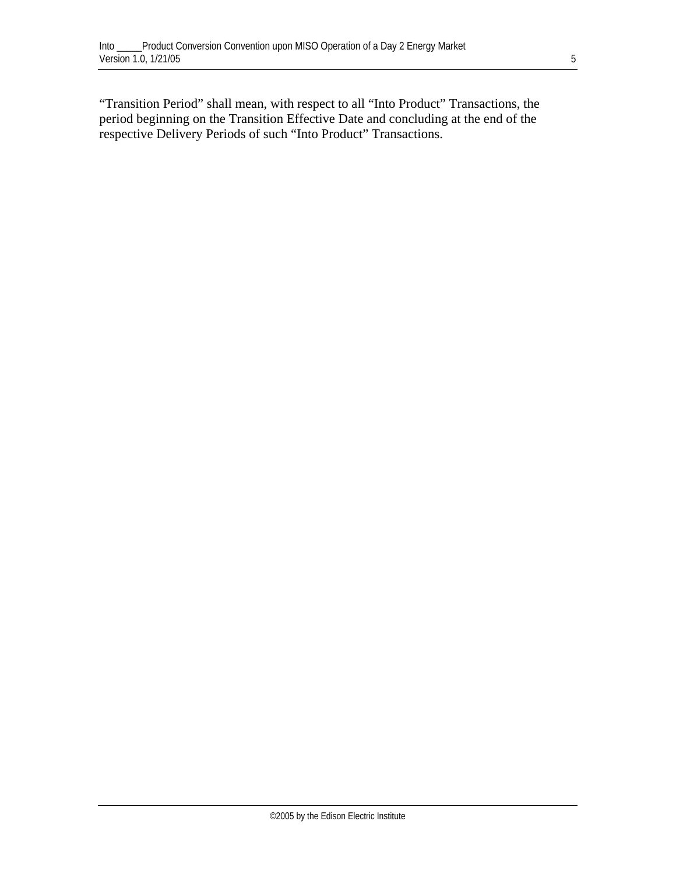"Transition Period" shall mean, with respect to all "Into Product" Transactions, the period beginning on the Transition Effective Date and concluding at the end of the respective Delivery Periods of such "Into Product" Transactions.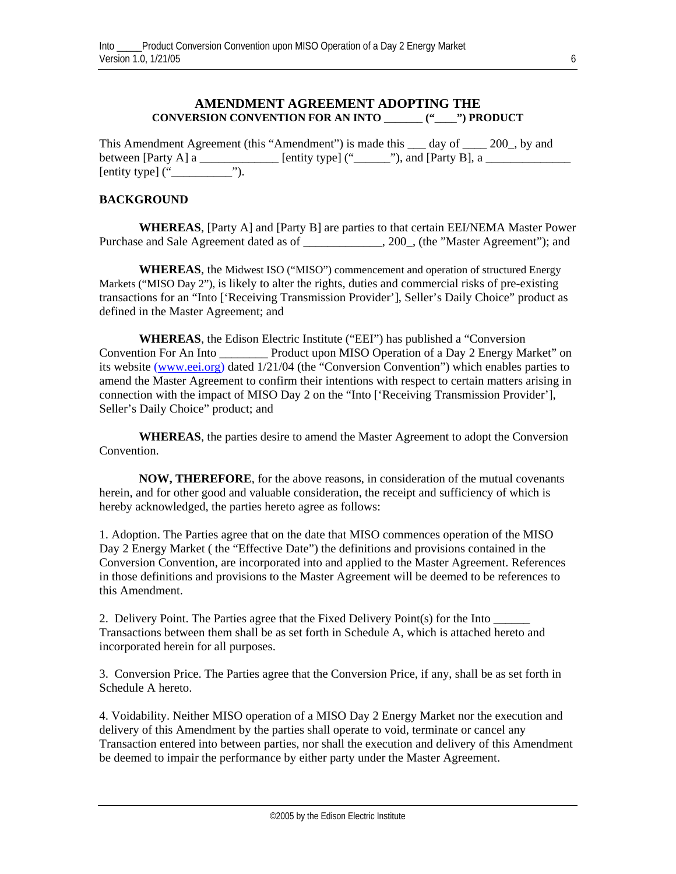### **AMENDMENT AGREEMENT ADOPTING THE CONVERSION CONVENTION FOR AN INTO \_\_\_\_\_\_\_ ("\_\_\_\_") PRODUCT**

This Amendment Agreement (this "Amendment") is made this \_\_\_ day of \_\_\_\_ 200\_, by and between [Party A] a \_\_\_\_\_\_\_\_\_\_\_\_\_ [entity type] ("\_\_\_\_\_\_"), and [Party B], a \_\_\_\_\_\_\_\_\_\_\_\_\_\_ [entity type]  $($ "

#### **BACKGROUND**

**WHEREAS**, [Party A] and [Party B] are parties to that certain EEI/NEMA Master Power Purchase and Sale Agreement dated as of \_\_\_\_\_\_\_\_\_\_\_\_, 200\_, (the "Master Agreement"); and

**WHEREAS**, the Midwest ISO ("MISO") commencement and operation of structured Energy Markets ("MISO Day 2"), is likely to alter the rights, duties and commercial risks of pre-existing transactions for an "Into ['Receiving Transmission Provider'], Seller's Daily Choice" product as defined in the Master Agreement; and

**WHEREAS**, the Edison Electric Institute ("EEI") has published a "Conversion Convention For An Into **Product upon MISO Operation of a Day 2 Energy Market**" on its website [\(www.eei.org\)](http://www.eei.org/) dated 1/21/04 (the "Conversion Convention") which enables parties to amend the Master Agreement to confirm their intentions with respect to certain matters arising in connection with the impact of MISO Day 2 on the "Into ['Receiving Transmission Provider'], Seller's Daily Choice" product; and

**WHEREAS**, the parties desire to amend the Master Agreement to adopt the Conversion Convention.

**NOW, THEREFORE**, for the above reasons, in consideration of the mutual covenants herein, and for other good and valuable consideration, the receipt and sufficiency of which is hereby acknowledged, the parties hereto agree as follows:

1. Adoption. The Parties agree that on the date that MISO commences operation of the MISO Day 2 Energy Market ( the "Effective Date") the definitions and provisions contained in the Conversion Convention, are incorporated into and applied to the Master Agreement. References in those definitions and provisions to the Master Agreement will be deemed to be references to this Amendment.

2. Delivery Point. The Parties agree that the Fixed Delivery Point(s) for the Into \_\_\_\_\_\_ Transactions between them shall be as set forth in Schedule A, which is attached hereto and incorporated herein for all purposes.

3. Conversion Price. The Parties agree that the Conversion Price, if any, shall be as set forth in Schedule A hereto.

4. Voidability. Neither MISO operation of a MISO Day 2 Energy Market nor the execution and delivery of this Amendment by the parties shall operate to void, terminate or cancel any Transaction entered into between parties, nor shall the execution and delivery of this Amendment be deemed to impair the performance by either party under the Master Agreement.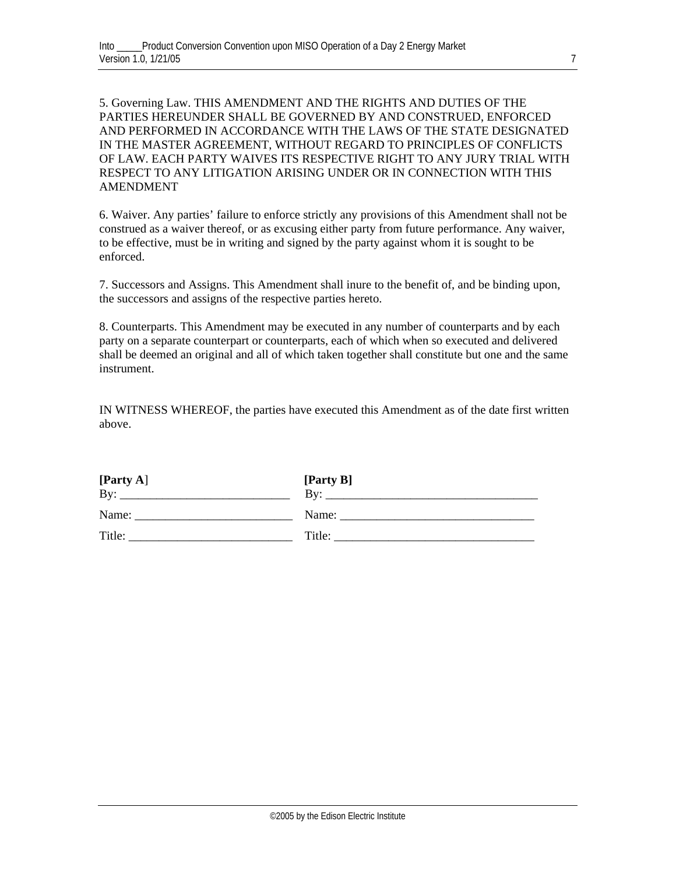5. Governing Law. THIS AMENDMENT AND THE RIGHTS AND DUTIES OF THE PARTIES HEREUNDER SHALL BE GOVERNED BY AND CONSTRUED, ENFORCED AND PERFORMED IN ACCORDANCE WITH THE LAWS OF THE STATE DESIGNATED IN THE MASTER AGREEMENT, WITHOUT REGARD TO PRINCIPLES OF CONFLICTS OF LAW. EACH PARTY WAIVES ITS RESPECTIVE RIGHT TO ANY JURY TRIAL WITH RESPECT TO ANY LITIGATION ARISING UNDER OR IN CONNECTION WITH THIS AMENDMENT

6. Waiver. Any parties' failure to enforce strictly any provisions of this Amendment shall not be construed as a waiver thereof, or as excusing either party from future performance. Any waiver, to be effective, must be in writing and signed by the party against whom it is sought to be enforced.

7. Successors and Assigns. This Amendment shall inure to the benefit of, and be binding upon, the successors and assigns of the respective parties hereto.

8. Counterparts. This Amendment may be executed in any number of counterparts and by each party on a separate counterpart or counterparts, each of which when so executed and delivered shall be deemed an original and all of which taken together shall constitute but one and the same instrument.

IN WITNESS WHEREOF, the parties have executed this Amendment as of the date first written above.

| [Party A] | [Party B] |
|-----------|-----------|
| By:       | Bv:       |
| Name:     | Name:     |
| Title:    | Title:    |